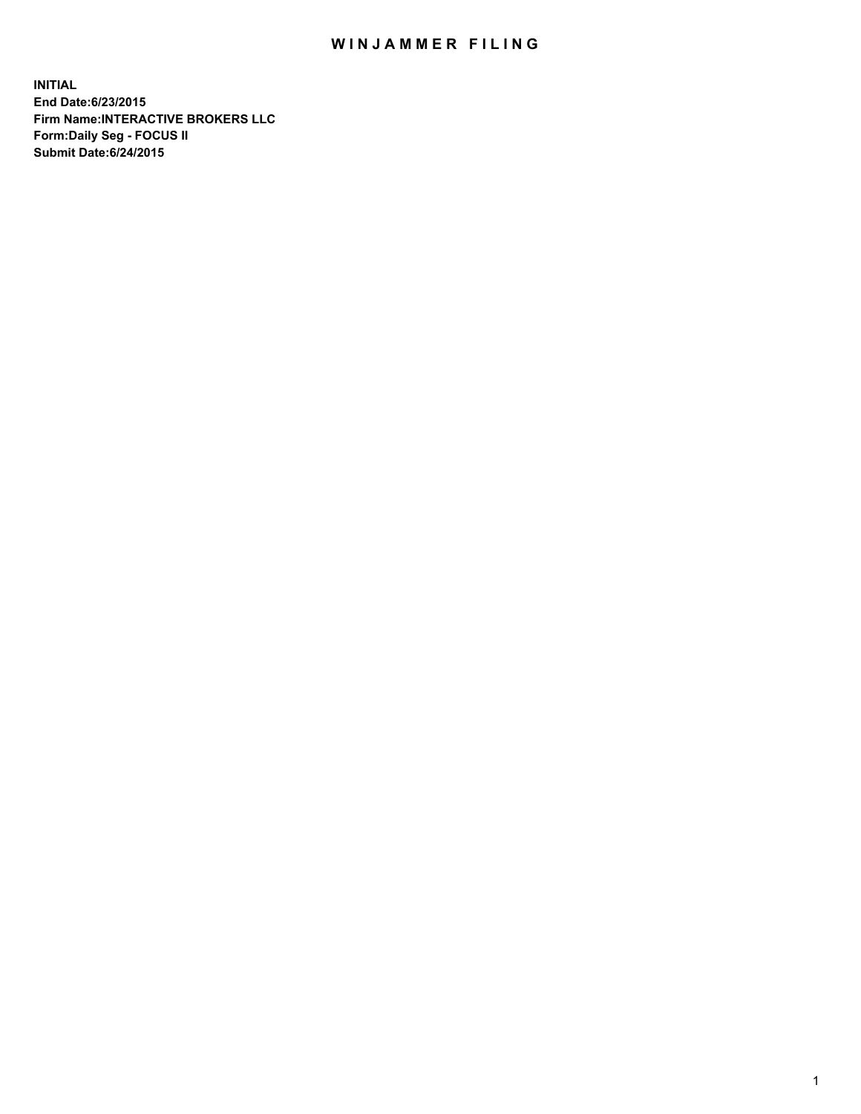## WIN JAMMER FILING

**INITIAL End Date:6/23/2015 Firm Name:INTERACTIVE BROKERS LLC Form:Daily Seg - FOCUS II Submit Date:6/24/2015**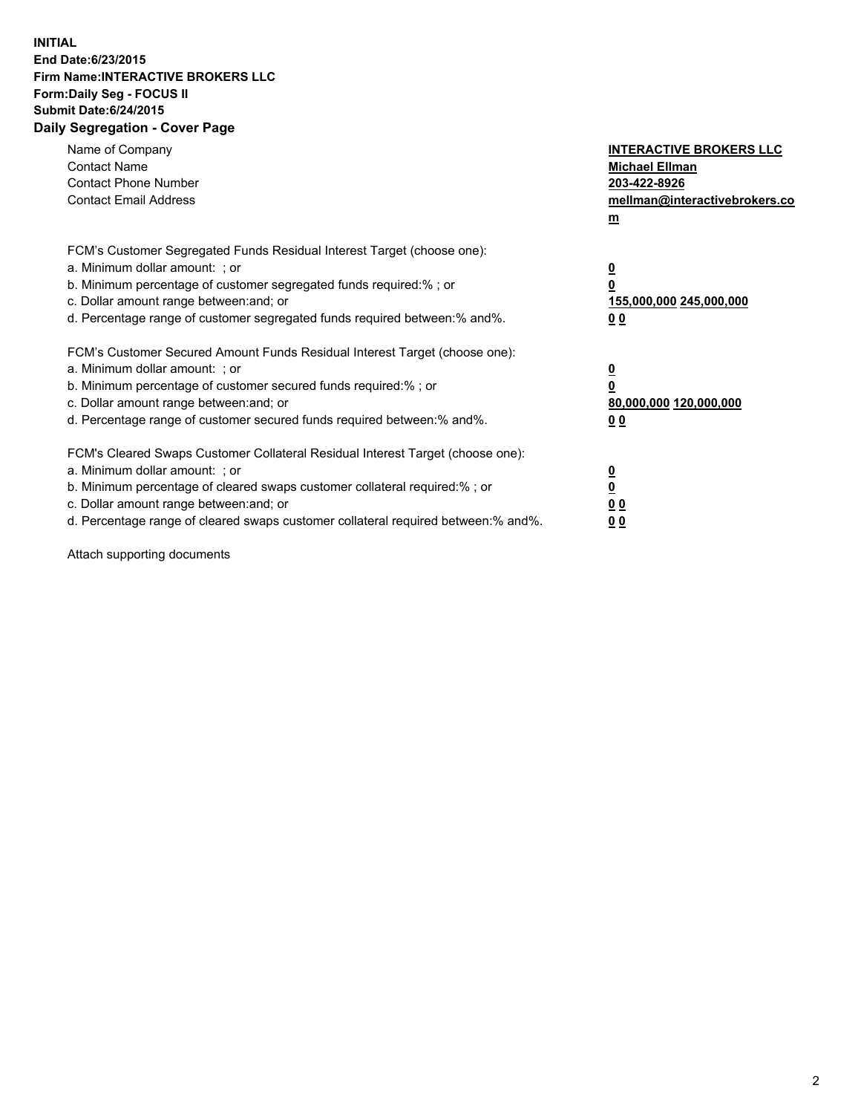## **INITIAL End Date:6/23/2015 Firm Name:INTERACTIVE BROKERS LLC Form:Daily Seg - FOCUS II Submit Date:6/24/2015 Daily Segregation - Cover Page**

| Name of Company<br><b>Contact Name</b><br><b>Contact Phone Number</b><br><b>Contact Email Address</b>                                                                                                                                                                                                                          | <b>INTERACTIVE BROKERS LLC</b><br><b>Michael Ellman</b><br>203-422-8926<br>mellman@interactivebrokers.co<br>$m$ |
|--------------------------------------------------------------------------------------------------------------------------------------------------------------------------------------------------------------------------------------------------------------------------------------------------------------------------------|-----------------------------------------------------------------------------------------------------------------|
| FCM's Customer Segregated Funds Residual Interest Target (choose one):<br>a. Minimum dollar amount: ; or<br>b. Minimum percentage of customer segregated funds required:% ; or<br>c. Dollar amount range between: and; or<br>d. Percentage range of customer segregated funds required between: % and %.                       | $\overline{\mathbf{0}}$<br>0<br>155,000,000 245,000,000<br>00                                                   |
| FCM's Customer Secured Amount Funds Residual Interest Target (choose one):<br>a. Minimum dollar amount: ; or<br>b. Minimum percentage of customer secured funds required:%; or<br>c. Dollar amount range between: and; or<br>d. Percentage range of customer secured funds required between: % and %.                          | $\overline{\mathbf{0}}$<br>0<br>80,000,000 120,000,000<br>0 <sub>0</sub>                                        |
| FCM's Cleared Swaps Customer Collateral Residual Interest Target (choose one):<br>a. Minimum dollar amount: ; or<br>b. Minimum percentage of cleared swaps customer collateral required:% ; or<br>c. Dollar amount range between: and; or<br>d. Percentage range of cleared swaps customer collateral required between:% and%. | $\overline{\mathbf{0}}$<br>$\underline{\mathbf{0}}$<br>0 <sub>0</sub><br>0 <sub>0</sub>                         |

Attach supporting documents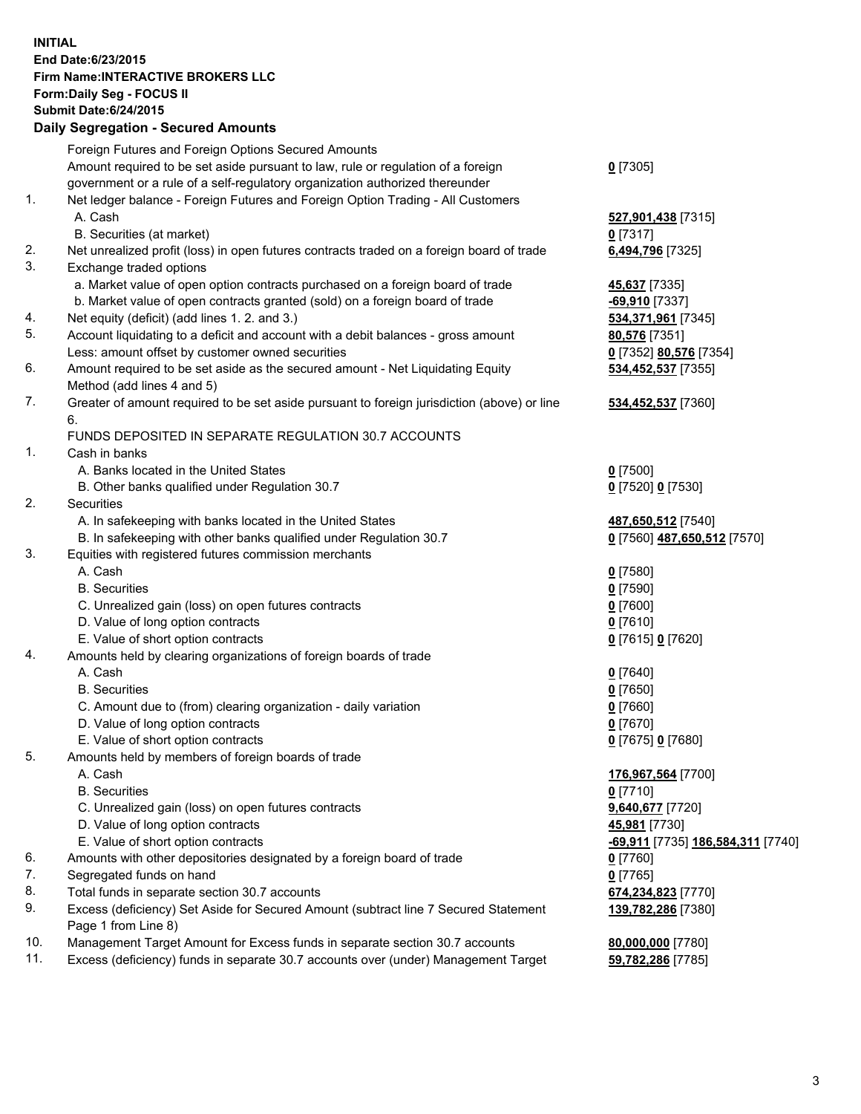## **INITIAL End Date:6/23/2015 Firm Name:INTERACTIVE BROKERS LLC Form:Daily Seg - FOCUS II Submit Date:6/24/2015 Daily Segregation - Secured Amounts**

|                | Daily Jegregation - Jeculed Aniounts                                                                       |                                   |
|----------------|------------------------------------------------------------------------------------------------------------|-----------------------------------|
|                | Foreign Futures and Foreign Options Secured Amounts                                                        |                                   |
|                | Amount required to be set aside pursuant to law, rule or regulation of a foreign                           | $0$ [7305]                        |
|                | government or a rule of a self-regulatory organization authorized thereunder                               |                                   |
| 1.             | Net ledger balance - Foreign Futures and Foreign Option Trading - All Customers                            |                                   |
|                | A. Cash                                                                                                    | 527,901,438 [7315]                |
|                | B. Securities (at market)                                                                                  | $0$ [7317]                        |
| 2.             | Net unrealized profit (loss) in open futures contracts traded on a foreign board of trade                  | 6,494,796 [7325]                  |
| 3.             | Exchange traded options                                                                                    |                                   |
|                | a. Market value of open option contracts purchased on a foreign board of trade                             | 45,637 [7335]                     |
|                | b. Market value of open contracts granted (sold) on a foreign board of trade                               | -69,910 [7337]                    |
| 4.             | Net equity (deficit) (add lines 1. 2. and 3.)                                                              | 534,371,961 [7345]                |
| 5.             | Account liquidating to a deficit and account with a debit balances - gross amount                          | 80,576 [7351]                     |
|                | Less: amount offset by customer owned securities                                                           | 0 [7352] 80,576 [7354]            |
| 6.             | Amount required to be set aside as the secured amount - Net Liquidating Equity                             | 534,452,537 [7355]                |
|                | Method (add lines 4 and 5)                                                                                 |                                   |
| 7.             | Greater of amount required to be set aside pursuant to foreign jurisdiction (above) or line                | 534,452,537 [7360]                |
|                | 6.                                                                                                         |                                   |
|                | FUNDS DEPOSITED IN SEPARATE REGULATION 30.7 ACCOUNTS                                                       |                                   |
| $\mathbf{1}$ . | Cash in banks                                                                                              |                                   |
|                | A. Banks located in the United States                                                                      | $0$ [7500]                        |
|                | B. Other banks qualified under Regulation 30.7                                                             | 0 [7520] 0 [7530]                 |
| 2.             | Securities                                                                                                 |                                   |
|                | A. In safekeeping with banks located in the United States                                                  | 487,650,512 [7540]                |
|                | B. In safekeeping with other banks qualified under Regulation 30.7                                         | 0 [7560] 487,650,512 [7570]       |
| 3.             | Equities with registered futures commission merchants                                                      |                                   |
|                | A. Cash                                                                                                    | $0$ [7580]                        |
|                | <b>B.</b> Securities                                                                                       | $0$ [7590]                        |
|                | C. Unrealized gain (loss) on open futures contracts                                                        | $0$ [7600]                        |
|                | D. Value of long option contracts                                                                          | $0$ [7610]                        |
|                | E. Value of short option contracts                                                                         | 0 [7615] 0 [7620]                 |
| 4.             | Amounts held by clearing organizations of foreign boards of trade                                          |                                   |
|                | A. Cash                                                                                                    | $0$ [7640]                        |
|                | <b>B.</b> Securities                                                                                       | $0$ [7650]                        |
|                | C. Amount due to (from) clearing organization - daily variation                                            | $0$ [7660]                        |
|                | D. Value of long option contracts                                                                          | $0$ [7670]                        |
|                | E. Value of short option contracts                                                                         | 0 [7675] 0 [7680]                 |
| 5.             | Amounts held by members of foreign boards of trade                                                         |                                   |
|                | A. Cash                                                                                                    | 176,967,564 [7700]                |
|                | <b>B.</b> Securities                                                                                       | $0$ [7710]                        |
|                | C. Unrealized gain (loss) on open futures contracts                                                        | 9,640,677 [7720]                  |
|                | D. Value of long option contracts                                                                          | 45,981 [7730]                     |
|                | E. Value of short option contracts                                                                         | -69,911 [7735] 186,584,311 [7740] |
| 6.             | Amounts with other depositories designated by a foreign board of trade                                     | 0 [7760]                          |
| 7.             | Segregated funds on hand                                                                                   | $0$ [7765]                        |
| 8.             | Total funds in separate section 30.7 accounts                                                              | 674,234,823 [7770]                |
| 9.             | Excess (deficiency) Set Aside for Secured Amount (subtract line 7 Secured Statement<br>Page 1 from Line 8) | 139,782,286 [7380]                |
| 10.            | Management Target Amount for Excess funds in separate section 30.7 accounts                                | 80,000,000 [7780]                 |
| 11.            | Excess (deficiency) funds in separate 30.7 accounts over (under) Management Target                         | 59,782,286 [7785]                 |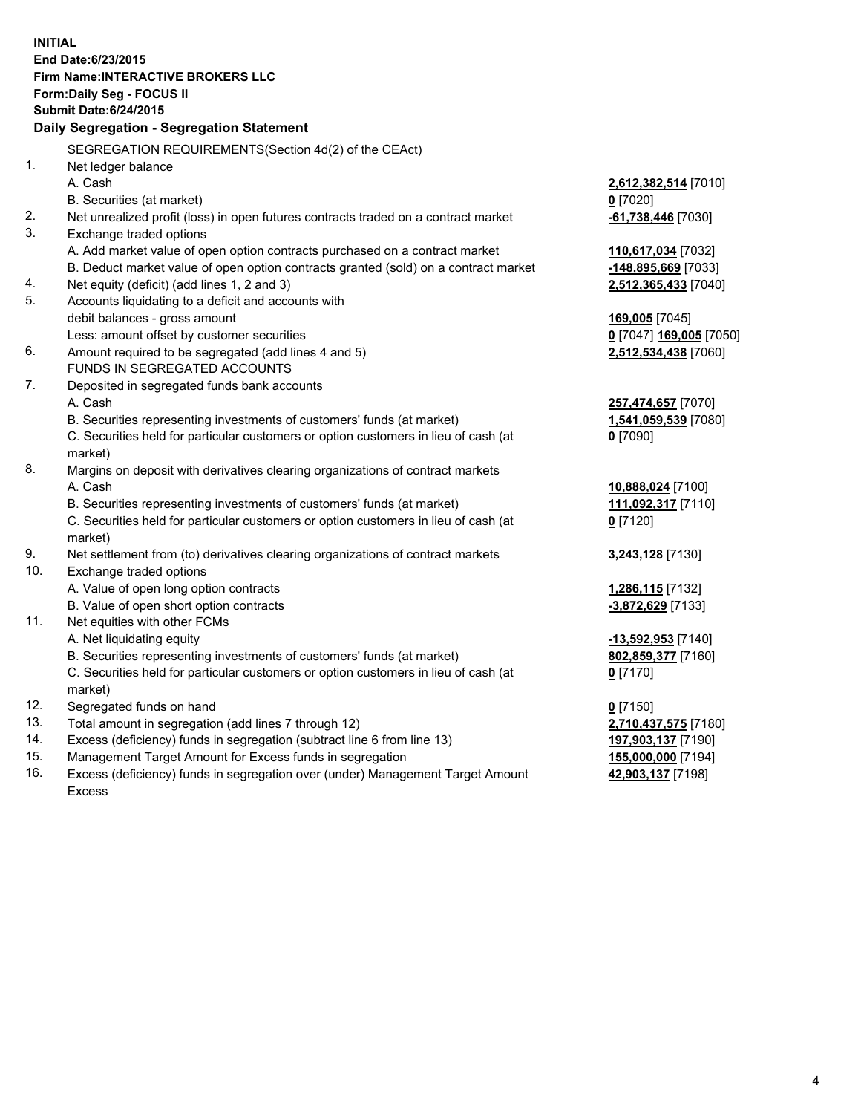**INITIAL End Date:6/23/2015 Firm Name:INTERACTIVE BROKERS LLC Form:Daily Seg - FOCUS II Submit Date:6/24/2015 Daily Segregation - Segregation Statement** SEGREGATION REQUIREMENTS(Section 4d(2) of the CEAct) 1. Net ledger balance A. Cash **2,612,382,514** [7010] B. Securities (at market) **0** [7020] 2. Net unrealized profit (loss) in open futures contracts traded on a contract market **-61,738,446** [7030] 3. Exchange traded options A. Add market value of open option contracts purchased on a contract market **110,617,034** [7032] B. Deduct market value of open option contracts granted (sold) on a contract market **-148,895,669** [7033] 4. Net equity (deficit) (add lines 1, 2 and 3) **2,512,365,433** [7040] 5. Accounts liquidating to a deficit and accounts with debit balances - gross amount **169,005** [7045] Less: amount offset by customer securities **0** [7047] **169,005** [7050] 6. Amount required to be segregated (add lines 4 and 5) **2,512,534,438** [7060] FUNDS IN SEGREGATED ACCOUNTS 7. Deposited in segregated funds bank accounts A. Cash **257,474,657** [7070] B. Securities representing investments of customers' funds (at market) **1,541,059,539** [7080] C. Securities held for particular customers or option customers in lieu of cash (at market) **0** [7090] 8. Margins on deposit with derivatives clearing organizations of contract markets A. Cash **10,888,024** [7100] B. Securities representing investments of customers' funds (at market) **111,092,317** [7110] C. Securities held for particular customers or option customers in lieu of cash (at market) **0** [7120] 9. Net settlement from (to) derivatives clearing organizations of contract markets **3,243,128** [7130] 10. Exchange traded options A. Value of open long option contracts **1,286,115** [7132] B. Value of open short option contracts **-3,872,629** [7133] 11. Net equities with other FCMs A. Net liquidating equity **-13,592,953** [7140] B. Securities representing investments of customers' funds (at market) **802,859,377** [7160] C. Securities held for particular customers or option customers in lieu of cash (at market) **0** [7170] 12. Segregated funds on hand **0** [7150] 13. Total amount in segregation (add lines 7 through 12) **2,710,437,575** [7180] 14. Excess (deficiency) funds in segregation (subtract line 6 from line 13) **197,903,137** [7190] 15. Management Target Amount for Excess funds in segregation **155,000,000** [7194]

16. Excess (deficiency) funds in segregation over (under) Management Target Amount Excess

**42,903,137** [7198]